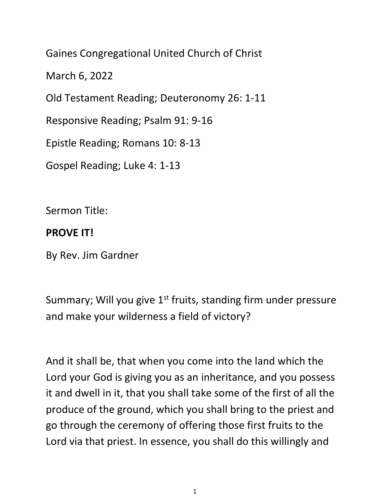Gaines Congregational United Church of Christ

March 6, 2022

Old Testament Reading; Deuteronomy 26: 1-11

Responsive Reading; Psalm 91: 9-16

Epistle Reading; Romans 10: 8-13

Gospel Reading; Luke 4: 1-13

Sermon Title:

## **PROVE IT!**

By Rev. Jim Gardner

Summary; Will you give  $1<sup>st</sup>$  fruits, standing firm under pressure and make your wilderness a field of victory?

And it shall be, that when you come into the land which the Lord your God is giving you as an inheritance, and you possess it and dwell in it, that you shall take some of the first of all the produce of the ground, which you shall bring to the priest and go through the ceremony of offering those first fruits to the Lord via that priest. In essence, you shall do this willingly and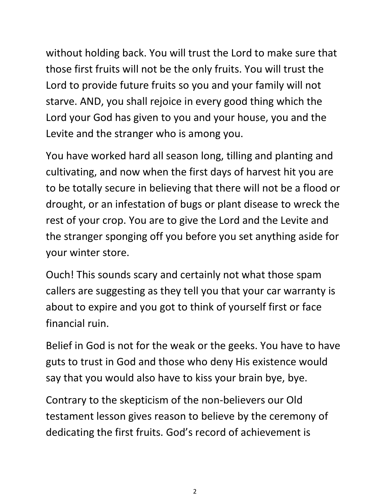without holding back. You will trust the Lord to make sure that those first fruits will not be the only fruits. You will trust the Lord to provide future fruits so you and your family will not starve. AND, you shall rejoice in every good thing which the Lord your God has given to you and your house, you and the Levite and the stranger who is among you.

You have worked hard all season long, tilling and planting and cultivating, and now when the first days of harvest hit you are to be totally secure in believing that there will not be a flood or drought, or an infestation of bugs or plant disease to wreck the rest of your crop. You are to give the Lord and the Levite and the stranger sponging off you before you set anything aside for your winter store.

Ouch! This sounds scary and certainly not what those spam callers are suggesting as they tell you that your car warranty is about to expire and you got to think of yourself first or face financial ruin.

Belief in God is not for the weak or the geeks. You have to have guts to trust in God and those who deny His existence would say that you would also have to kiss your brain bye, bye.

Contrary to the skepticism of the non-believers our Old testament lesson gives reason to believe by the ceremony of dedicating the first fruits. God's record of achievement is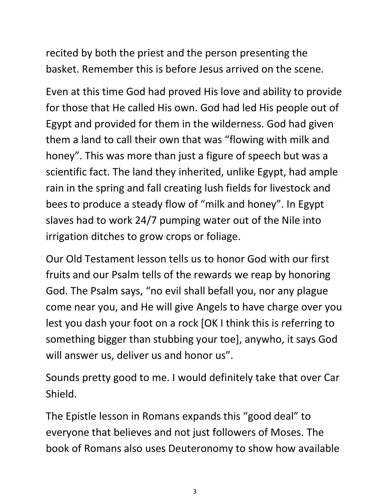recited by both the priest and the person presenting the basket. Remember this is before Jesus arrived on the scene.

Even at this time God had proved His love and ability to provide for those that He called His own. God had led His people out of Egypt and provided for them in the wilderness. God had given them a land to call their own that was "flowing with milk and honey". This was more than just a figure of speech but was a scientific fact. The land they inherited, unlike Egypt, had ample rain in the spring and fall creating lush fields for livestock and bees to produce a steady flow of "milk and honey". In Egypt slaves had to work 24/7 pumping water out of the Nile into irrigation ditches to grow crops or foliage.

Our Old Testament lesson tells us to honor God with our first fruits and our Psalm tells of the rewards we reap by honoring God. The Psalm says, "no evil shall befall you, nor any plague come near you, and He will give Angels to have charge over you lest you dash your foot on a rock [OK I think this is referring to something bigger than stubbing your toe], anywho, it says God will answer us, deliver us and honor us".

Sounds pretty good to me. I would definitely take that over Car Shield.

The Epistle lesson in Romans expands this "good deal" to everyone that believes and not just followers of Moses. The book of Romans also uses Deuteronomy to show how available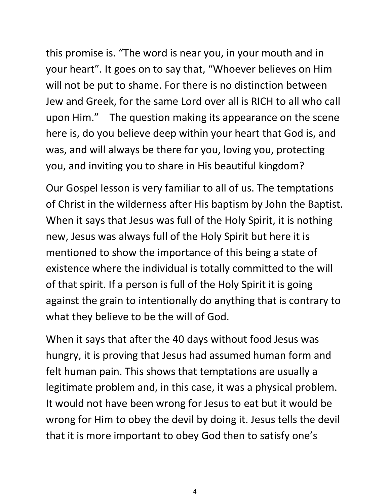this promise is. "The word is near you, in your mouth and in your heart". It goes on to say that, "Whoever believes on Him will not be put to shame. For there is no distinction between Jew and Greek, for the same Lord over all is RICH to all who call upon Him." The question making its appearance on the scene here is, do you believe deep within your heart that God is, and was, and will always be there for you, loving you, protecting you, and inviting you to share in His beautiful kingdom?

Our Gospel lesson is very familiar to all of us. The temptations of Christ in the wilderness after His baptism by John the Baptist. When it says that Jesus was full of the Holy Spirit, it is nothing new, Jesus was always full of the Holy Spirit but here it is mentioned to show the importance of this being a state of existence where the individual is totally committed to the will of that spirit. If a person is full of the Holy Spirit it is going against the grain to intentionally do anything that is contrary to what they believe to be the will of God.

When it says that after the 40 days without food Jesus was hungry, it is proving that Jesus had assumed human form and felt human pain. This shows that temptations are usually a legitimate problem and, in this case, it was a physical problem. It would not have been wrong for Jesus to eat but it would be wrong for Him to obey the devil by doing it. Jesus tells the devil that it is more important to obey God then to satisfy one's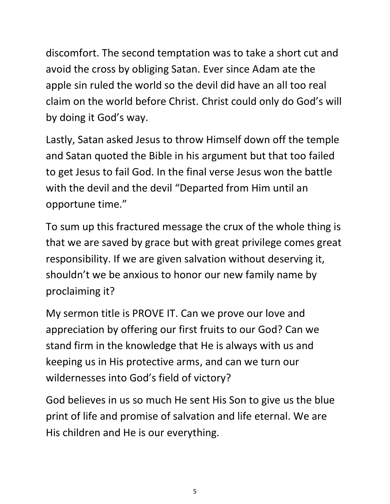discomfort. The second temptation was to take a short cut and avoid the cross by obliging Satan. Ever since Adam ate the apple sin ruled the world so the devil did have an all too real claim on the world before Christ. Christ could only do God's will by doing it God's way.

Lastly, Satan asked Jesus to throw Himself down off the temple and Satan quoted the Bible in his argument but that too failed to get Jesus to fail God. In the final verse Jesus won the battle with the devil and the devil "Departed from Him until an opportune time."

To sum up this fractured message the crux of the whole thing is that we are saved by grace but with great privilege comes great responsibility. If we are given salvation without deserving it, shouldn't we be anxious to honor our new family name by proclaiming it?

My sermon title is PROVE IT. Can we prove our love and appreciation by offering our first fruits to our God? Can we stand firm in the knowledge that He is always with us and keeping us in His protective arms, and can we turn our wildernesses into God's field of victory?

God believes in us so much He sent His Son to give us the blue print of life and promise of salvation and life eternal. We are His children and He is our everything.